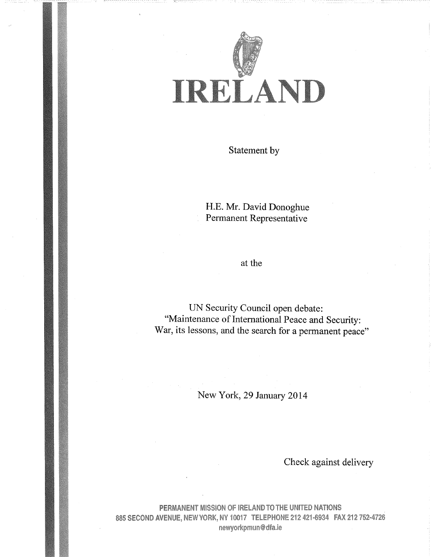

Statement by

H.E. Mr. David Donoghue Permanent Representative

at the

UN Security Council open debate: "Maintenance of International Peace and Security: War, its lessons, and the search for a permanent peace"

New York, 29 January 2014

Check against delivery

PERMANENT MISSION OF IRELAND TO THE UNITED NATIONS 885 SECOND AVENUE, NEW YORK, NY 10017 TELEPHONE 212 421-6934 FAX 212 752-4726 newyorkpmun@dfa.ie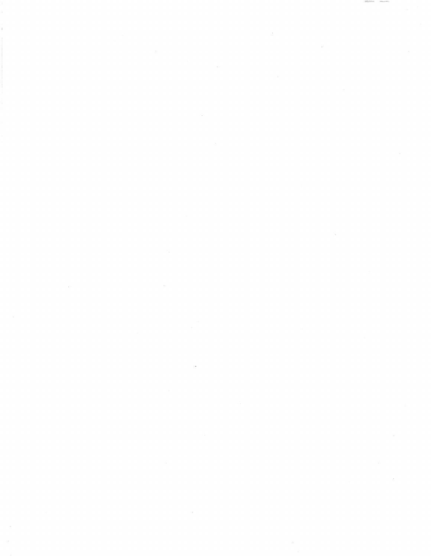$\label{eq:2.1} \frac{1}{\sqrt{2}}\int_{\mathbb{R}^3}\frac{1}{\sqrt{2}}\left(\frac{1}{\sqrt{2}}\right)^2\frac{1}{\sqrt{2}}\left(\frac{1}{\sqrt{2}}\right)^2\frac{1}{\sqrt{2}}\left(\frac{1}{\sqrt{2}}\right)^2\frac{1}{\sqrt{2}}\left(\frac{1}{\sqrt{2}}\right)^2.$  $\label{eq:2.1} \frac{1}{\sqrt{2\pi}}\sum_{i=1}^n\frac{1}{\sqrt{2\pi}}\sum_{i=1}^n\frac{1}{\sqrt{2\pi}}\sum_{i=1}^n\frac{1}{\sqrt{2\pi}}\sum_{i=1}^n\frac{1}{\sqrt{2\pi}}\sum_{i=1}^n\frac{1}{\sqrt{2\pi}}\sum_{i=1}^n\frac{1}{\sqrt{2\pi}}\sum_{i=1}^n\frac{1}{\sqrt{2\pi}}\sum_{i=1}^n\frac{1}{\sqrt{2\pi}}\sum_{i=1}^n\frac{1}{\sqrt{2\pi}}\sum_{i=1}^n\$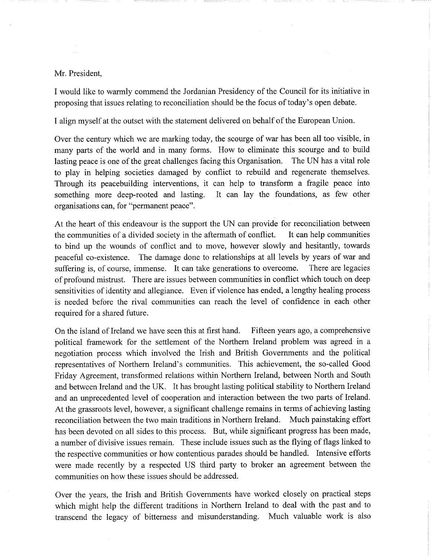## Mr. President,

I would like to warmly commend the Jordanian Presidency of the Council for its initiative in proposing that issues relating to reconciliation should be the focus of today's open debate.

I align myself at the outset with the statement delivered on behalf of the European Union.

Over the century which we are marking today, the scourge of war has been all too visible, in many parts of the world and in many forms. How to eliminate this scourge and to build lasting peace is one of the great challenges facing this Organisation. The UN has a vital role to play in helping societies damaged by conflict to rebuild and regenerate themselves. Through its peacebuilding interventions, it can help to transform a fragile peace into something more deep-rooted and lasting. It can lay the foundations, as few other organisations can, for "permanent peace".

At the heart of this endeavour is the support the UN can provide for reconciliation between the communities of a divided society in the aftermath of conflict. It can help communities to bind up the wounds of conflict and to move, however slowly and hesitantly, towards peaceful co-existence. The damage done to relationships at all levels by years of war and suffering is, of course, immense. It can take generations to overcome. There are legacies of profound mistrust. There are issues between communities in conflict which touch on deep sensitivities of identity and allegiance. Even if violence has ended, a lengthy healing process is needed before the rival communities can reach the level of confidence in each other required for a shared future.

On the island of Ireland we have seen this at first hand. Fifteen years ago, a comprehensive political framework for the settlement of the Northern Ireland problem was agreed in a negotiation process which involved the Irish and British Governments and the political representatives of Northern Ireland's communities. This achievement, the so-called Good Friday Agreement, transformed relations within Northern Ireland, between North and South and between Ireland and the UK. It has brought lasting political stability to Northern Ireland and an unprecedented level of cooperation and interaction between the two parts of Ireland. At the grassroots level, however, a significant challenge remains in terms of achieving lasting reconciliation between the two main traditions in Northern Ireland. Much painstaking effort has been devoted on all sides to this process. But, while significant progress has been made, a number of divisive issues remain. These include issues such as the flying of flags linked to the respective communities or how contentious parades should be handled. Intensive efforts were made recently by a respected US third party to broker an agreement between the communities on how these issues should be addressed.

Over the years, the Irish and British Governments have worked closely on practical steps which might help the different traditions in Northern Ireland to deal with the past and to transcend the legacy of bitterness and misunderstanding. Much valuable work is also